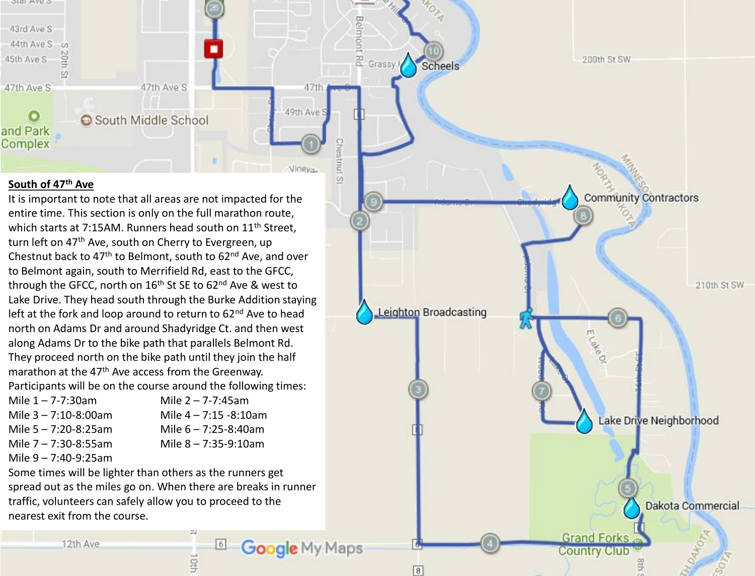

Belmont

g

# **South of 47th Ave**

It is important to note that all areas are not impacted for the entire time. This section is only on the full marathon route, which starts at 7:15AM. Runners head south on 11<sup>th</sup> Street. turn left on 47<sup>th</sup> Ave, south on Cherry to Evergreen, up Chestnut back to  $47<sup>th</sup>$  to Belmont, south to  $62<sup>nd</sup>$  Ave, and over to Belmont again, south to Merrifield Rd, east to the GFCC, through the GFCC, north on 16<sup>th</sup> St SE to 62<sup>nd</sup> Ave & west to Lake Drive. They head south through the Burke Addition staying left at the fork and loop around to return to  $62<sup>nd</sup>$  Ave to head north on Adams Dr and around Shadyridge Ct. and then west along Adams Dr to the bike path that parallels Belmont Rd. They proceed north on the bike path until they join the half marathon at the 47<sup>th</sup> Ave access from the Greenway. Participants will be on the course around the following times:

| Mile $1 - 7 - 7:30$ am    | Mile $2 - 7 - 7:45$ am    |
|---------------------------|---------------------------|
| Mile $3 - 7:10 - 8:00$ am | Mile $4 - 7:15 - 8:10$ am |
| Mile $5 - 7:20 - 8:25$ am | Mile $6 - 7:25 - 8:40$ am |
| Mile $7 - 7:30 - 8:55$ am | Mile $8 - 7:35 - 9:10$ am |
|                           |                           |

Mile 9 – 7:40-9:25am

Some times will be lighter than others as the runners get spread out as the miles go on. When there are breaks in runner traffic, volunteers can safely allow you to proceed to the nearest exit from the course.

6

**Stb** 

Google My Maps

 $\boxed{8}$ 

**MOTA** 200th St SW Grassy I Scheels **Community Contractors** 210th St SW Leighton Broadcasting ELakeOl Lake Drive Neighborhood Dakota Commercial

**Grand Forks** 

**Country Club** 

12th Ave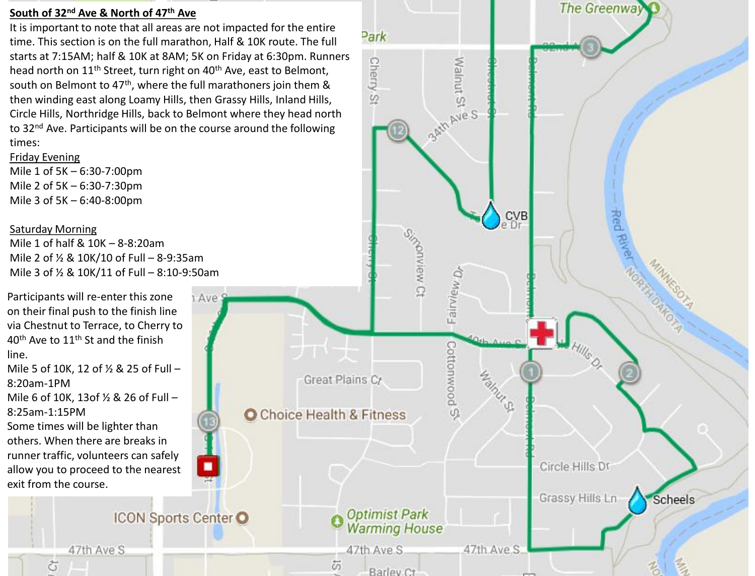## **South of 32nd Ave & North of 47th Ave**

It is important to note that all areas are not impacted for the entire time. This section is on the full marathon, Half & 10K route. The full starts at 7:15AM; half & 10K at 8AM; 5K on Friday at 6:30pm. Runners head north on 11<sup>th</sup> Street, turn right on 40<sup>th</sup> Ave, east to Belmont, south on Belmont to 47<sup>th</sup>, where the full marathoners join them & then winding east along Loamy Hills, then Grassy Hills, Inland Hills, Circle Hills, Northridge Hills, back to Belmont where they head north to 32<sup>nd</sup> Ave. Participants will be on the course around the following times:

Friday Evening Mile 1 of 5K – 6:30-7:00pm Mile 2 of 5K – 6:30-7:30pm Mile 3 of 5K – 6:40-8:00pm

# Saturday Morning



Park

**Cherry** 

 $\overline{\mathcal{D}}$ 

**Malnut S** 

B<sup>ANN Ave S</sup>

The Greenway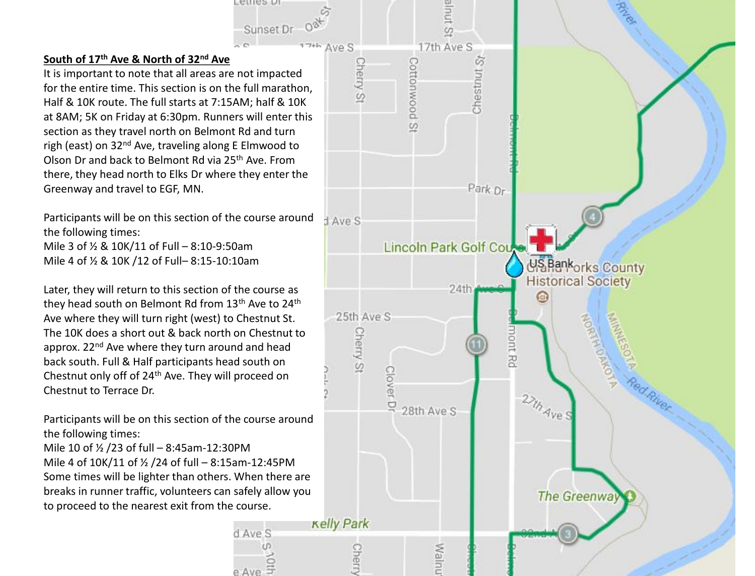# **South of 17th Ave & North of 32nd Ave**

It is important to note that all areas are not impacted for the entire time. This section is on the full marathon, Half & 10K route. The full starts at 7:15AM; half & 10K at 8AM; 5K on Friday at 6:30pm. Runners will enter this section as they travel north on Belmont Rd and turn righ (east) on 32<sup>nd</sup> Ave, traveling along E Elmwood to Olson Dr and back to Belmont Rd via 25th Ave. From there, they head north to Elks Dr where they enter the Greenway and travel to EGF, MN.

Ferres ni

Sunset Dr

Participants will be on this section of the course around the following times: Mile 3 of ½ & 10K/11 of Full – 8:10-9:50am Mile 4 of ½ & 10K /12 of Full– 8:15-10:10am

Later, they will return to this section of the course as they head south on Belmont Rd from 13<sup>th</sup> Ave to 24<sup>th</sup> Ave where they will turn right (west) to Chestnut St. The 10K does a short out & back north on Chestnut to approx. 22<sup>nd</sup> Ave where they turn around and head back south. Full & Half participants head south on Chestnut only off of 24th Ave. They will proceed on Chestnut to Terrace Dr.

Participants will be on this section of the course around the following times:

Mile 10 of ½ /23 of full – 8:45am-12:30PM Mile 4 of 10K/11 of ½ /24 of full – 8:15am-12:45PM Some times will be lighter than others. When there are breaks in runner traffic, volunteers can safely allow you to proceed to the nearest exit from the course.

d Ave S

e Ave

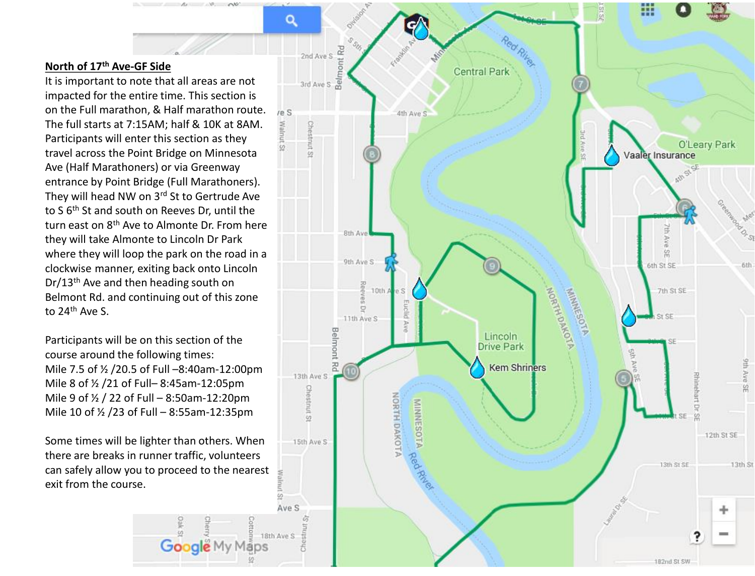## **North of 17th Ave-GF Side**

It is important to note that all areas are not impacted for the entire time. This section is on the Full marathon, & Half marathon route. The full starts at 7:15AM; half & 10K at 8AM. Participants will enter this section as they travel across the Point Bridge on Minnesota Ave (Half Marathoners) or via Greenway entrance by Point Bridge (Full Marathoners). They will head NW on 3rd St to Gertrude Ave to S 6th St and south on Reeves Dr, until the turn east on 8th Ave to Almonte Dr. From here they will take Almonte to Lincoln Dr Park where they will loop the park on the road in a clockwise manner, exiting back onto Lincoln Dr/13th Ave and then heading south on Belmont Rd. and continuing out of this zone to 24th Ave S.

No

Participants will be on this section of the course around the following times: Mile 7.5 of ½ /20.5 of Full –8:40am-12:00pm Mile 8 of ½ /21 of Full– 8:45am-12:05pm Mile 9 of ½ / 22 of Full – 8:50am-12:20pm Mile 10 of ½ /23 of Full – 8:55am-12:35pm

Some times will be lighter than others. When there are breaks in runner traffic, volunteers can safely allow you to proceed to the nearest exit from the course.

Google My

aps